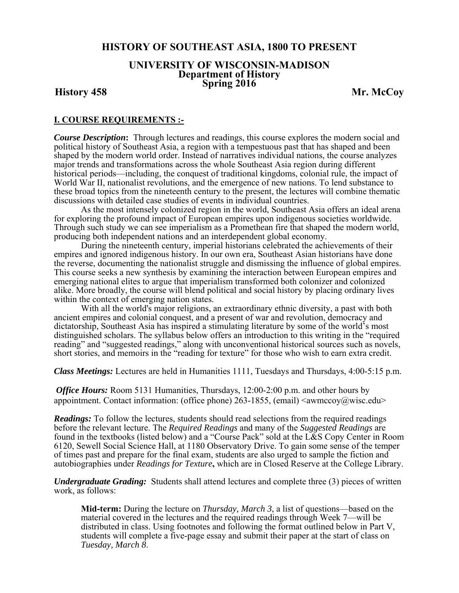# **HISTORY OF SOUTHEAST ASIA, 1800 TO PRESENT**

# **UNIVERSITY OF WISCONSIN-MADISON Department of History Spring 2016 History 458 Mr. McCoy**

# **I. COURSE REQUIREMENTS :-**

*Course Description***:** Through lectures and readings, this course explores the modern social and political history of Southeast Asia, a region with a tempestuous past that has shaped and been shaped by the modern world order. Instead of narratives individual nations, the course analyzes major trends and transformations across the whole Southeast Asia region during different historical periods—including, the conquest of traditional kingdoms, colonial rule, the impact of World War II, nationalist revolutions, and the emergence of new nations. To lend substance to these broad topics from the nineteenth century to the present, the lectures will combine thematic discussions with detailed case studies of events in individual countries.

 As the most intensely colonized region in the world, Southeast Asia offers an ideal arena for exploring the profound impact of European empires upon indigenous societies worldwide. Through such study we can see imperialism as a Promethean fire that shaped the modern world, producing both independent nations and an interdependent global economy.

 During the nineteenth century, imperial historians celebrated the achievements of their empires and ignored indigenous history. In our own era, Southeast Asian historians have done the reverse, documenting the nationalist struggle and dismissing the influence of global empires. This course seeks a new synthesis by examining the interaction between European empires and emerging national elites to argue that imperialism transformed both colonizer and colonized alike. More broadly, the course will blend political and social history by placing ordinary lives within the context of emerging nation states.

 With all the world's major religions, an extraordinary ethnic diversity, a past with both ancient empires and colonial conquest, and a present of war and revolution, democracy and dictatorship, Southeast Asia has inspired a stimulating literature by some of the world's most distinguished scholars. The syllabus below offers an introduction to this writing in the "required reading" and "suggested readings," along with unconventional historical sources such as novels, short stories, and memoirs in the "reading for texture" for those who wish to earn extra credit.

*Class Meetings:* Lectures are held in Humanities 1111, Tuesdays and Thursdays, 4:00-5:15 p.m.

*Office Hours:* Room 5131 Humanities, Thursdays, 12:00-2:00 p.m. and other hours by appointment. Contact information: (office phone) 263-1855, (email)  $\langle$ awmccoy $\langle \omega \rangle$ wisc.edu $\rangle$ 

*Readings:* To follow the lectures, students should read selections from the required readings before the relevant lecture. The *Required Readings* and many of the *Suggested Readings* are found in the textbooks (listed below) and a "Course Pack" sold at the L&S Copy Center in Room 6120, Sewell Social Science Hall, at 1180 Observatory Drive. To gain some sense of the temper of times past and prepare for the final exam, students are also urged to sample the fiction and autobiographies under *Readings for Texture***,** which are in Closed Reserve at the College Library.

*Undergraduate Grading:* Students shall attend lectures and complete three (3) pieces of written work, as follows:

**Mid-term:** During the lecture on *Thursday, March 3*, a list of questions—based on the material covered in the lectures and the required readings through Week 7—will be distributed in class. Using footnotes and following the format outlined below in Part V, students will complete a five-page essay and submit their paper at the start of class on *Tuesday, March 8*.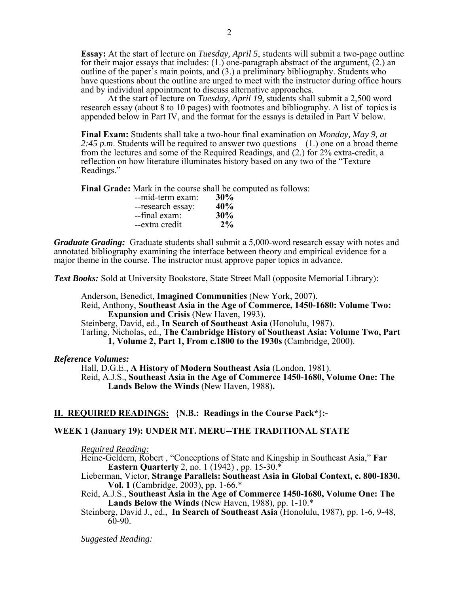**Essay:** At the start of lecture on *Tuesday, April 5*, students will submit a two-page outline for their major essays that includes:  $(1)$  one-paragraph abstract of the argument,  $(2)$  an outline of the paper's main points, and (3.) a preliminary bibliography. Students who have questions about the outline are urged to meet with the instructor during office hours and by individual appointment to discuss alternative approaches. At the start of lecture on *Tuesday, April 19,* students shall submit a 2,500 word

research essay (about 8 to 10 pages) with footnotes and bibliography. A list of topics is appended below in Part IV, and the format for the essays is detailed in Part V below.

**Final Exam:** Students shall take a two-hour final examination on *Monday, May 9, at 2:45 p.m*. Students will be required to answer two questions—(1.) one on a broad theme from the lectures and some of the Required Readings, and (2.) for 2% extra-credit, a reflection on how literature illuminates history based on any two of the "Texture Readings."

**Final Grade:** Mark in the course shall be computed as follows:

| --mid-term exam:  | 30%   |
|-------------------|-------|
| --research essay: | 40%   |
| --final exam:     | 30%   |
| --extra credit    | $2\%$ |

*Graduate Grading:* Graduate students shall submit a 5,000-word research essay with notes and annotated bibliography examining the interface between theory and empirical evidence for a major theme in the course. The instructor must approve paper topics in advance.

*Text Books:* Sold at University Bookstore, State Street Mall (opposite Memorial Library):

Anderson, Benedict, **Imagined Communities** (New York, 2007).

Reid, Anthony, **Southeast Asia in the Age of Commerce, 1450-1680: Volume Two: Expansion and Crisis** (New Haven, 1993).

Steinberg, David, ed., **In Search of Southeast Asia** (Honolulu, 1987).

Tarling, Nicholas, ed., **The Cambridge History of Southeast Asia: Volume Two, Part 1, Volume 2, Part 1, From c.1800 to the 1930s** (Cambridge, 2000).

# *Reference Volumes:*

Hall, D.G.E., **A History of Modern Southeast Asia** (London, 1981). Reid, A.J.S., **Southeast Asia in the Age of Commerce 1450-1680, Volume One: The Lands Below the Winds** (New Haven, 1988)**.** 

# **II. REQUIRED READINGS: {N.B.: Readings in the Course Pack\*}:-**

# **WEEK 1 (January 19): UNDER MT. MERU--THE TRADITIONAL STATE**

*Required Reading:*

Heine-Geldern, Robert , "Conceptions of State and Kingship in Southeast Asia," **Far Eastern Quarterly** 2, no. 1 (1942) , pp. 15-30.\*

Lieberman, Victor, **Strange Parallels: Southeast Asia in Global Context, c. 800-1830. Vol. 1** (Cambridge, 2003), pp. 1-66.\*

Reid, A.J.S., **Southeast Asia in the Age of Commerce 1450-1680, Volume One: The Lands Below the Winds** (New Haven, 1988), pp. 1-10.\*

Steinberg, David J., ed., **In Search of Southeast Asia** (Honolulu, 1987), pp. 1-6, 9-48, 60-90.

*Suggested Reading:*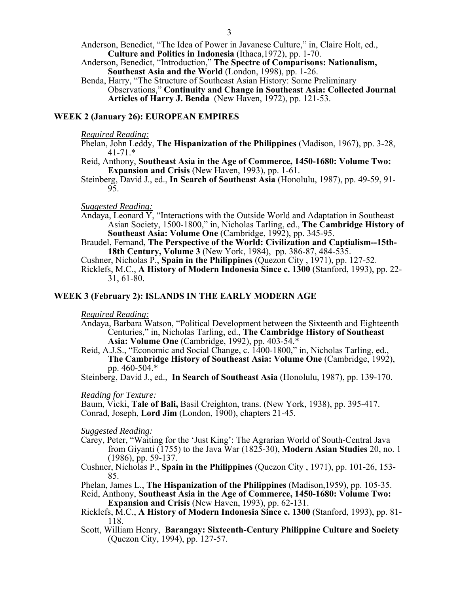- Anderson, Benedict, "The Idea of Power in Javanese Culture," in, Claire Holt, ed., **Culture and Politics in Indonesia** (Ithaca,1972), pp. 1-70.
- Anderson, Benedict, "Introduction," **The Spectre of Comparisons: Nationalism, Southeast Asia and the World** (London, 1998), pp. 1-26.
- Benda, Harry, "The Structure of Southeast Asian History: Some Preliminary Observations," **Continuity and Change in Southeast Asia: Collected Journal Articles of Harry J. Benda** (New Haven, 1972), pp. 121-53.

# **WEEK 2 (January 26): EUROPEAN EMPIRES**

#### *Required Reading:*

- Phelan, John Leddy, **The Hispanization of the Philippines** (Madison, 1967), pp. 3-28, 41-71.\*
- Reid, Anthony, **Southeast Asia in the Age of Commerce, 1450-1680: Volume Two: Expansion and Crisis** (New Haven, 1993), pp. 1-61.
- Steinberg, David J., ed., **In Search of Southeast Asia** (Honolulu, 1987), pp. 49-59, 91- 95.

## *Suggested Reading:*

- Andaya, Leonard  $\overline{Y}$ , "Interactions with the Outside World and Adaptation in Southeast Asian Society, 1500-1800," in, Nicholas Tarling, ed., **The Cambridge History of Southeast Asia: Volume One** (Cambridge, 1992), pp. 345-95.
- Braudel, Fernand, **The Perspective of the World: Civilization and Captialism--15th- 18th Century, Volume 3** (New York, 1984), pp. 386-87, 484-535.

Cushner, Nicholas P., **Spain in the Philippines** (Quezon City , 1971), pp. 127-52.

Ricklefs, M.C., **A History of Modern Indonesia Since c. 1300** (Stanford, 1993), pp. 22- 31, 61-80.

# **WEEK 3 (February 2): ISLANDS IN THE EARLY MODERN AGE**

#### *Required Reading:*

- Andaya, Barbara Watson, "Political Development between the Sixteenth and Eighteenth Centuries," in, Nicholas Tarling, ed., **The Cambridge History of Southeast Asia: Volume One** (Cambridge, 1992), pp. 403-54.\*
- Reid, A.J.S., "Economic and Social Change, c. 1400-1800," in, Nicholas Tarling, ed., **The Cambridge History of Southeast Asia: Volume One** (Cambridge, 1992), pp. 460-504.\*

Steinberg, David J., ed., **In Search of Southeast Asia** (Honolulu, 1987), pp. 139-170.

## *Reading for Texture:*

Baum, Vicki, **Tale of Bali,** Basil Creighton, trans. (New York, 1938), pp. 395-417. Conrad, Joseph, **Lord Jim** (London, 1900), chapters 21-45.

*Suggested Reading:* 

- Carey, Peter, "Waiting for the 'Just King': The Agrarian World of South-Central Java from Giyanti (1755) to the Java War (1825-30), **Modern Asian Studies** 20, no. 1 (1986), pp. 59-137.
- Cushner, Nicholas P., **Spain in the Philippines** (Quezon City , 1971), pp. 101-26, 153- 85.
- Phelan, James L., **The Hispanization of the Philippines** (Madison,1959), pp. 105-35.
- Reid, Anthony, **Southeast Asia in the Age of Commerce, 1450-1680: Volume Two: Expansion and Crisis** (New Haven, 1993), pp. 62-131.
- Ricklefs, M.C., **A History of Modern Indonesia Since c. 1300** (Stanford, 1993), pp. 81- 118.
- Scott, William Henry, **Barangay: Sixteenth-Century Philippine Culture and Society** (Quezon City, 1994), pp. 127-57.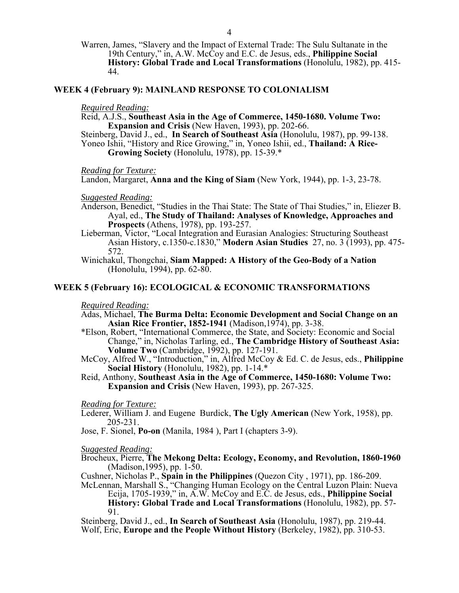## **WEEK 4 (February 9): MAINLAND RESPONSE TO COLONIALISM**

#### *Required Reading:*

Reid, A.J.S., **Southeast Asia in the Age of Commerce, 1450-1680. Volume Two: Expansion and Crisis** (New Haven, 1993), pp. 202-66.

Steinberg, David J., ed., **In Search of Southeast Asia** (Honolulu, 1987), pp. 99-138. Yoneo Ishii, "History and Rice Growing," in, Yoneo Ishii, ed., **Thailand: A Rice-Growing Society** (Honolulu, 1978), pp. 15-39.\*

*Reading for Texture:* 

Landon, Margaret, **Anna and the King of Siam** (New York, 1944), pp. 1-3, 23-78.

## *Suggested Reading:*

- Anderson, Benedict, "Studies in the Thai State: The State of Thai Studies," in, Eliezer B. Ayal, ed., **The Study of Thailand: Analyses of Knowledge, Approaches and Prospects** (Athens, 1978), pp. 193-257.
- Lieberman, Victor, "Local Integration and Eurasian Analogies: Structuring Southeast Asian History, c.1350-c.1830," **Modern Asian Studies** 27, no. 3 (1993), pp. 475- 572.
- Winichakul, Thongchai, **Siam Mapped: A History of the Geo-Body of a Nation** (Honolulu, 1994), pp. 62-80.

## **WEEK 5 (February 16): ECOLOGICAL & ECONOMIC TRANSFORMATIONS**

#### *Required Reading:*

- Adas, Michael, **The Burma Delta: Economic Development and Social Change on an Asian Rice Frontier, 1852-1941** (Madison,1974), pp. 3-38.
- \*Elson, Robert, "International Commerce, the State, and Society: Economic and Social Change," in, Nicholas Tarling, ed., **The Cambridge History of Southeast Asia: Volume Two** (Cambridge, 1992), pp. 127-191.
- McCoy, Alfred W., "Introduction," in, Alfred McCoy & Ed. C. de Jesus, eds., **Philippine Social History** (Honolulu, 1982), pp. 1-14.\*
- Reid, Anthony, **Southeast Asia in the Age of Commerce, 1450-1680: Volume Two: Expansion and Crisis** (New Haven, 1993), pp. 267-325.

## *Reading for Texture:*

Lederer, William J. and Eugene Burdick, **The Ugly American** (New York, 1958), pp. 205-231.

Jose, F. Sionel, **Po-on** (Manila, 1984 ), Part I (chapters 3-9).

#### *Suggested Reading:*

Brocheux, Pierre, **The Mekong Delta: Ecology, Economy, and Revolution, 1860-1960** (Madison,1995), pp. 1-50.

Cushner, Nicholas P., **Spain in the Philippines** (Quezon City , 1971), pp. 186-209.

McLennan, Marshall S., "Changing Human Ecology on the Central Luzon Plain: Nueva Ecija, 1705-1939," in, A.W. McCoy and E.C. de Jesus, eds., **Philippine Social History: Global Trade and Local Transformations** (Honolulu, 1982), pp. 57- 91.

Steinberg, David J., ed., **In Search of Southeast Asia** (Honolulu, 1987), pp. 219-44. Wolf, Eric, **Europe and the People Without History** (Berkeley, 1982), pp. 310-53.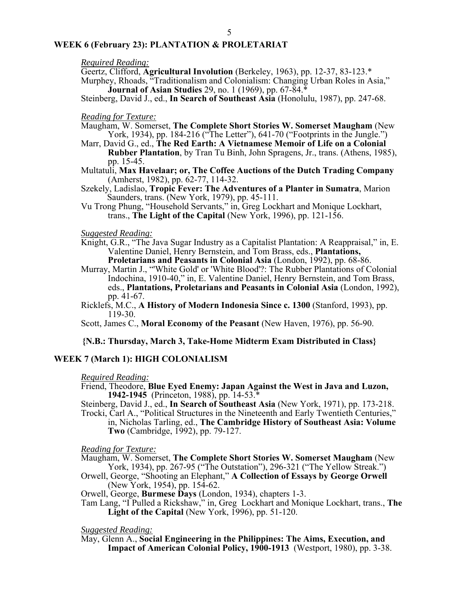# **WEEK 6 (February 23): PLANTATION & PROLETARIAT**

#### *Required Reading:*

Geertz, Clifford, **Agricultural Involution** (Berkeley, 1963), pp. 12-37, 83-123.\*

Murphey, Rhoads, "Traditionalism and Colonialism: Changing Urban Roles in Asia," **Journal of Asian Studies** 29, no. 1 (1969), pp. 67-84.\*

Steinberg, David J., ed., **In Search of Southeast Asia** (Honolulu, 1987), pp. 247-68.

#### *Reading for Texture:*

- Maugham, W. Somerset, **The Complete Short Stories W. Somerset Maugham** (New York, 1934), pp. 184-216 ("The Letter"), 641-70 ("Footprints in the Jungle.")
- Marr, David G., ed., **The Red Earth: A Vietnamese Memoir of Life on a Colonial Rubber Plantation**, by Tran Tu Binh, John Spragens, Jr., trans. (Athens, 1985), pp. 15-45.
- Multatuli, **Max Havelaar; or, The Coffee Auctions of the Dutch Trading Company** (Amherst, 1982), pp. 62-77, 114-32.
- Szekely, Ladislao, **Tropic Fever: The Adventures of a Planter in Sumatra**, Marion Saunders, trans. (New York, 1979), pp. 45-111.
- Vu Trong Phung, "Household Servants," in, Greg Lockhart and Monique Lockhart, trans., **The Light of the Capital** (New York, 1996), pp. 121-156.

## *Suggested Reading:*

- Knight, G.R., "The Java Sugar Industry as a Capitalist Plantation: A Reappraisal," in, E. Valentine Daniel, Henry Bernstein, and Tom Brass, eds., **Plantations, Proletarians and Peasants in Colonial Asia** (London, 1992), pp. 68-86.
- Murray, Martin J., "'White Gold' or 'White Blood'?: The Rubber Plantations of Colonial Indochina, 1910-40," in, E. Valentine Daniel, Henry Bernstein, and Tom Brass, eds., **Plantations, Proletarians and Peasants in Colonial Asia** (London, 1992), pp. 41-67.
- Ricklefs, M.C., **A History of Modern Indonesia Since c. 1300** (Stanford, 1993), pp. 119-30.

Scott, James C., **Moral Economy of the Peasant** (New Haven, 1976), pp. 56-90.

# **{N.B.: Thursday, March 3, Take-Home Midterm Exam Distributed in Class}**

# **WEEK 7 (March 1): HIGH COLONIALISM**

#### *Required Reading:*

Friend, Theodore, **Blue Eyed Enemy: Japan Against the West in Java and Luzon, 1942-1945** (Princeton, 1988), pp. 14-53.\*

Steinberg, David J., ed., **In Search of Southeast Asia** (New York, 1971), pp. 173-218.

Trocki, Carl A., "Political Structures in the Nineteenth and Early Twentieth Centuries," in, Nicholas Tarling, ed., **The Cambridge History of Southeast Asia: Volume Two** (Cambridge, 1992), pp. 79-127.

*Reading for Texture:* 

- Maugham, W. Somerset, **The Complete Short Stories W. Somerset Maugham** (New York, 1934), pp. 267-95 ("The Outstation"), 296-321 ("The Yellow Streak.")
- Orwell, George, "Shooting an Elephant," **A Collection of Essays by George Orwell** (New York, 1954), pp. 154-62.

Orwell, George, **Burmese Days** (London, 1934), chapters 1-3.

Tam Lang, "I Pulled a Rickshaw," in, Greg Lockhart and Monique Lockhart, trans., **The Light of the Capital** (New York, 1996), pp. 51-120.

*Suggested Reading:* 

May, Glenn A., **Social Engineering in the Philippines: The Aims, Execution, and Impact of American Colonial Policy, 1900-1913** (Westport, 1980), pp. 3-38.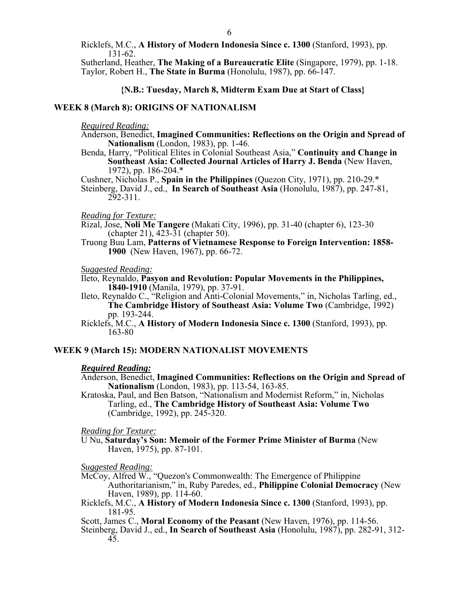Ricklefs, M.C., **A History of Modern Indonesia Since c. 1300** (Stanford, 1993), pp. 131-62.

Sutherland, Heather, **The Making of a Bureaucratic Elite** (Singapore, 1979), pp. 1-18. Taylor, Robert H., **The State in Burma** (Honolulu, 1987), pp. 66-147.

**{N.B.: Tuesday, March 8, Midterm Exam Due at Start of Class}**

# **WEEK 8 (March 8): ORIGINS OF NATIONALISM**

*Required Reading:* 

- Anderson, Benedict, **Imagined Communities: Reflections on the Origin and Spread of Nationalism** (London, 1983), pp. 1-46.
- Benda, Harry, "Political Elites in Colonial Southeast Asia," **Continuity and Change in Southeast Asia: Collected Journal Articles of Harry J. Benda** (New Haven, 1972), pp. 186-204.\*

Cushner, Nicholas P., **Spain in the Philippines** (Quezon City, 1971), pp. 210-29.\*

Steinberg, David J., ed., **In Search of Southeast Asia** (Honolulu, 1987), pp. 247-81, 292-311.

## *Reading for Texture:*

Rizal, Jose, **Noli Me Tangere** (Makati City, 1996), pp. 31-40 (chapter 6), 123-30 (chapter 21), 423-31 (chapter 50).

Truong Buu Lam, **Patterns of Vietnamese Response to Foreign Intervention: 1858- 1900** (New Haven, 1967), pp. 66-72.

*Suggested Reading:* 

Ileto, Reynaldo, **Pasyon and Revolution: Popular Movements in the Philippines, 1840-1910** (Manila, 1979), pp. 37-91.

Ileto, Reynaldo C., "Religion and Anti-Colonial Movements," in, Nicholas Tarling, ed., **The Cambridge History of Southeast Asia: Volume Two** (Cambridge, 1992) pp. 193-244.

Ricklefs, M.C., **A History of Modern Indonesia Since c. 1300** (Stanford, 1993), pp. 163-80

# **WEEK 9 (March 15): MODERN NATIONALIST MOVEMENTS**

## *Required Reading:*

Anderson, Benedict, **Imagined Communities: Reflections on the Origin and Spread of Nationalism** (London, 1983), pp. 113-54, 163-85.

Kratoska, Paul, and Ben Batson, "Nationalism and Modernist Reform," in, Nicholas Tarling, ed., **The Cambridge History of Southeast Asia: Volume Two**  (Cambridge, 1992), pp. 245-320.

*Reading for Texture:* 

U Nu, **Saturday's Son: Memoir of the Former Prime Minister of Burma** (New Haven, 1975), pp. 87-101.

*Suggested Reading:* 

McCoy, Alfred W., "Quezon's Commonwealth: The Emergence of Philippine Authoritarianism," in, Ruby Paredes, ed., **Philippine Colonial Democracy** (New Haven, 1989), pp. 114-60.

Ricklefs, M.C., **A History of Modern Indonesia Since c. 1300** (Stanford, 1993), pp. 181-95.

Scott, James C., **Moral Economy of the Peasant** (New Haven, 1976), pp. 114-56.

Steinberg, David J., ed., **In Search of Southeast Asia** (Honolulu, 1987), pp. 282-91, 312- 45.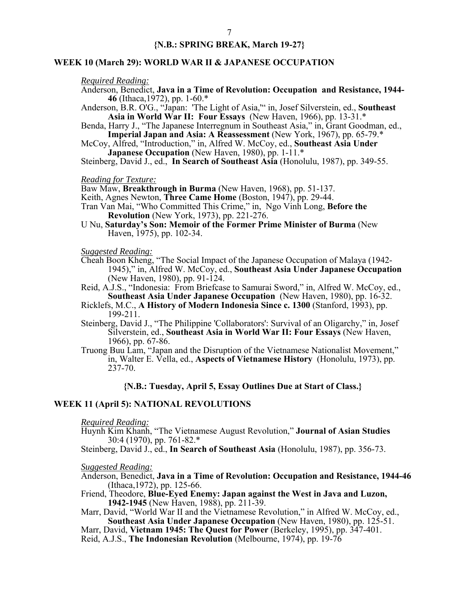# **{N.B.: SPRING BREAK, March 19-27}**

## **WEEK 10 (March 29): WORLD WAR II & JAPANESE OCCUPATION**

## *Required Reading:*

Anderson, Benedict, **Java in a Time of Revolution: Occupation and Resistance, 1944- 46** (Ithaca,1972), pp. 1-60.\*

Anderson, B.R. O'G., "Japan: 'The Light of Asia,'" in, Josef Silverstein, ed., **Southeast Asia in World War II: Four Essays** (New Haven, 1966), pp. 13-31.\*

Benda, Harry J., "The Japanese Interregnum in Southeast Asia," in, Grant Goodman, ed., **Imperial Japan and Asia: A Reassessment** (New York, 1967), pp. 65-79.\*

McCoy, Alfred, "Introduction," in, Alfred W. McCoy, ed., **Southeast Asia Under Japanese Occupation** (New Haven, 1980), pp. 1-11.\*

Steinberg, David J., ed., **In Search of Southeast Asia** (Honolulu, 1987), pp. 349-55.

#### *Reading for Texture:*

Baw Maw, **Breakthrough in Burma** (New Haven, 1968), pp. 51-137.

Keith, Agnes Newton, **Three Came Home** (Boston, 1947), pp. 29-44.

- Tran Van Mai, "Who Committed This Crime," in, Ngo Vinh Long, **Before the Revolution** (New York, 1973), pp. 221-276.
- U Nu, **Saturday's Son: Memoir of the Former Prime Minister of Burma** (New Haven, 1975), pp. 102-34.

#### *Suggested Reading:*

Cheah Boon Kheng, "The Social Impact of the Japanese Occupation of Malaya (1942- 1945)," in, Alfred W. McCoy, ed., **Southeast Asia Under Japanese Occupation** (New Haven, 1980), pp. 91-124.

Reid, A.J.S., "Indonesia: From Briefcase to Samurai Sword," in, Alfred W. McCoy, ed., **Southeast Asia Under Japanese Occupation** (New Haven, 1980), pp. 16-32.

Ricklefs, M.C., **A History of Modern Indonesia Since c. 1300** (Stanford, 1993), pp. 199-211.

Steinberg, David J., "The Philippine 'Collaborators': Survival of an Oligarchy," in, Josef Silverstein, ed., **Southeast Asia in World War II: Four Essays** (New Haven, 1966), pp. 67-86.

Truong Buu Lam, "Japan and the Disruption of the Vietnamese Nationalist Movement," in, Walter E. Vella, ed., **Aspects of Vietnamese History**(Honolulu, 1973), pp. 237-70.

#### **{N.B.: Tuesday, April 5, Essay Outlines Due at Start of Class.}**

## **WEEK 11 (April 5): NATIONAL REVOLUTIONS**

#### *Required Reading:*

Huynh Kim Khanh, "The Vietnamese August Revolution," **Journal of Asian Studies**  30:4 (1970), pp. 761-82.\*

Steinberg, David J., ed., **In Search of Southeast Asia** (Honolulu, 1987), pp. 356-73.

## *Suggested Reading:*

Anderson, Benedict, **Java in a Time of Revolution: Occupation and Resistance, 1944-46**  (Ithaca,1972), pp. 125-66.

Friend, Theodore, **Blue-Eyed Enemy: Japan against the West in Java and Luzon, 1942-1945** (New Haven, 1988), pp. 211-39.

Marr, David, "World War II and the Vietnamese Revolution," in Alfred W. McCoy, ed., **Southeast Asia Under Japanese Occupation** (New Haven, 1980), pp. 125-51.

Marr, David, **Vietnam 1945: The Quest for Power** (Berkeley, 1995), pp. 347-401. Reid, A.J.S., **The Indonesian Revolution** (Melbourne, 1974), pp. 19-76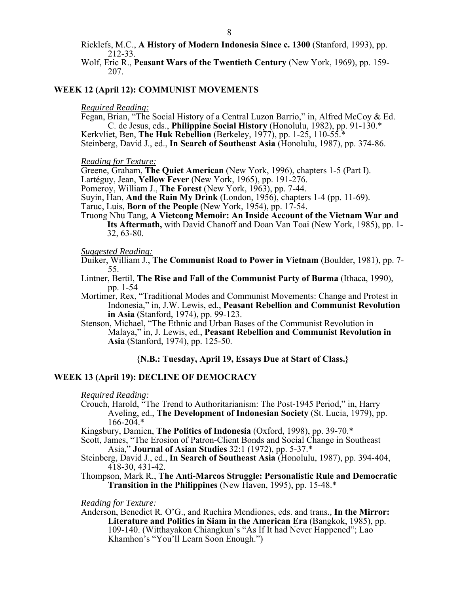Ricklefs, M.C., **A History of Modern Indonesia Since c. 1300** (Stanford, 1993), pp. 212-33.

Wolf, Eric R., **Peasant Wars of the Twentieth Century** (New York, 1969), pp. 159- 207.

#### **WEEK 12 (April 12): COMMUNIST MOVEMENTS**

#### *Required Reading:*

Fegan, Brian, "The Social History of a Central Luzon Barrio," in, Alfred McCoy & Ed. C. de Jesus, eds., **Philippine Social History** (Honolulu, 1982), pp. 91-130.\* Kerkvliet, Ben, **The Huk Rebellion** (Berkeley, 1977), pp. 1-25, 110-55.\*

Steinberg, David J., ed., **In Search of Southeast Asia** (Honolulu, 1987), pp. 374-86.

## *Reading for Texture:*

Greene, Graham, **The Quiet American** (New York, 1996), chapters 1-5 (Part I).

Lartéguy, Jean, **Yellow Fever** (New York, 1965), pp. 191-276.

Pomeroy, William J., **The Forest** (New York, 1963), pp. 7-44.

Suyin, Han, **And the Rain My Drink** (London, 1956), chapters 1-4 (pp. 11-69).

Taruc, Luis, **Born of the People** (New York, 1954), pp. 17-54.

Truong Nhu Tang, **A Vietcong Memoir: An Inside Account of the Vietnam War and Its Aftermath,** with David Chanoff and Doan Van Toai (New York, 1985), pp. 1- 32, 63-80.

#### *Suggested Reading:*

Duiker, William J., **The Communist Road to Power in Vietnam** (Boulder, 1981), pp. 7- 55.

- Lintner, Bertil, **The Rise and Fall of the Communist Party of Burma** (Ithaca, 1990), pp. 1-54
- Mortimer, Rex, "Traditional Modes and Communist Movements: Change and Protest in Indonesia," in, J.W. Lewis, ed., **Peasant Rebellion and Communist Revolution in Asia** (Stanford, 1974), pp. 99-123.
- Stenson, Michael, "The Ethnic and Urban Bases of the Communist Revolution in Malaya," in, J. Lewis, ed., **Peasant Rebellion and Communist Revolution in Asia** (Stanford, 1974), pp. 125-50.

#### **{N.B.: Tuesday, April 19, Essays Due at Start of Class.}**

# **WEEK 13 (April 19): DECLINE OF DEMOCRACY**

*Required Reading:* 

- Crouch, Harold, "The Trend to Authoritarianism: The Post-1945 Period," in, Harry Aveling, ed., **The Development of Indonesian Society** (St. Lucia, 1979), pp.  $166 - 204$ .\*
- Kingsbury, Damien, **The Politics of Indonesia** (Oxford, 1998), pp. 39-70.\*

Scott, James, "The Erosion of Patron-Client Bonds and Social Change in Southeast Asia," **Journal of Asian Studies** 32:1 (1972), pp. 5-37.\*

Steinberg, David J., ed., **In Search of Southeast Asia** (Honolulu, 1987), pp. 394-404, 418-30, 431-42.

Thompson, Mark R., **The Anti-Marcos Struggle: Personalistic Rule and Democratic Transition in the Philippines** (New Haven, 1995), pp. 15-48.\*

*Reading for Texture:* 

Anderson, Benedict R. O'G., and Ruchira Mendiones, eds. and trans*.,* **In the Mirror: Literature and Politics in Siam in the American Era** (Bangkok, 1985), pp. 109-140. (Witthayakon Chiangkun's "As If It had Never Happened"; Lao Khamhon's "You'll Learn Soon Enough.")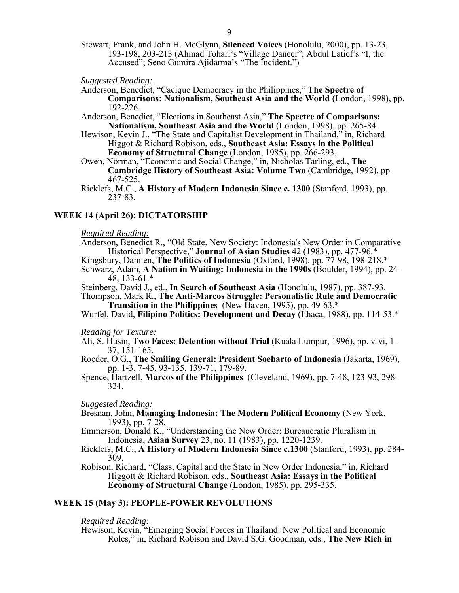Stewart, Frank, and John H. McGlynn, **Silenced Voices** (Honolulu, 2000), pp. 13-23, 193-198, 203-213 (Ahmad Tohari's "Village Dancer"; Abdul Latief's "I, the Accused"; Seno Gumira Ajidarma's "The Incident.")

*Suggested Reading:* 

- Anderson, Benedict, "Cacique Democracy in the Philippines," **The Spectre of Comparisons: Nationalism, Southeast Asia and the World** (London, 1998), pp.  $192 - 226$ .
- Anderson, Benedict, "Elections in Southeast Asia," **The Spectre of Comparisons: Nationalism, Southeast Asia and the World** (London, 1998), pp. 265-84.
- Hewison, Kevin J., "The State and Capitalist Development in Thailand," in, Richard Higgot & Richard Robison, eds., **Southeast Asia: Essays in the Political Economy of Structural Change** (London, 1985), pp. 266-293.
- Owen, Norman, "Economic and Social Change," in, Nicholas Tarling, ed., **The Cambridge History of Southeast Asia: Volume Two** (Cambridge, 1992), pp. 467-525.
- Ricklefs, M.C., **A History of Modern Indonesia Since c. 1300** (Stanford, 1993), pp. 237-83.

# **WEEK 14 (April 26): DICTATORSHIP**

## *Required Reading:*

Anderson, Benedict R., "Old State, New Society: Indonesia's New Order in Comparative Historical Perspective," **Journal of Asian Studies** 42 (1983), pp. 477-96.\*

Kingsbury, Damien, **The Politics of Indonesia** (Oxford, 1998), pp. 77-98, 198-218.\*

- Schwarz, Adam, **A Nation in Waiting: Indonesia in the 1990s** (Boulder, 1994), pp. 24- 48, 133-61.\*
- Steinberg, David J., ed., **In Search of Southeast Asia** (Honolulu, 1987), pp. 387-93.

Thompson, Mark R., **The Anti-Marcos Struggle: Personalistic Rule and Democratic Transition in the Philippines** (New Haven, 1995), pp. 49-63.\*

Wurfel, David, **Filipino Politics: Development and Decay** (Ithaca, 1988), pp. 114-53.\*

## *Reading for Texture:*

- Ali, S. Husin, **Two Faces: Detention without Trial** (Kuala Lumpur, 1996), pp. v-vi, 1- 37, 151-165.
- Roeder, O.G., **The Smiling General: President Soeharto of Indonesia** (Jakarta, 1969), pp. 1-3, 7-45, 93-135, 139-71, 179-89.
- Spence, Hartzell, **Marcos of the Philippines** (Cleveland, 1969), pp. 7-48, 123-93, 298- 324.

# *Suggested Reading:*

Bresnan, John, **Managing Indonesia: The Modern Political Economy** (New York, 1993), pp. 7-28.

Emmerson, Donald K., "Understanding the New Order: Bureaucratic Pluralism in Indonesia, **Asian Survey** 23, no. 11 (1983), pp. 1220-1239.

- Ricklefs, M.C., **A History of Modern Indonesia Since c.1300** (Stanford, 1993), pp. 284- 309.
- Robison, Richard, "Class, Capital and the State in New Order Indonesia," in, Richard Higgott & Richard Robison, eds., **Southeast Asia: Essays in the Political Economy of Structural Change** (London, 1985), pp. 295-335.

# **WEEK 15 (May 3): PEOPLE-POWER REVOLUTIONS**

# *Required Reading:*

Hewison, Kevin, "Emerging Social Forces in Thailand: New Political and Economic Roles," in, Richard Robison and David S.G. Goodman, eds., **The New Rich in**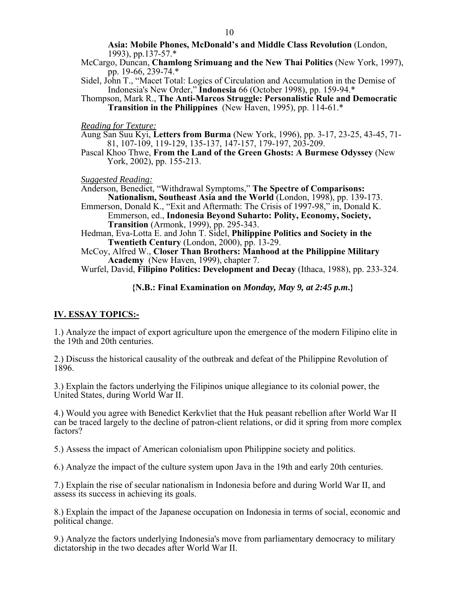**Asia: Mobile Phones, McDonald's and Middle Class Revolution** (London, 1993), pp.137-57.\*

- McCargo, Duncan, **Chamlong Srimuang and the New Thai Politics** (New York, 1997), pp. 19-66, 239-74.\*
- Sidel, John T., "Macet Total: Logics of Circulation and Accumulation in the Demise of Indonesia's New Order," **Indonesia** 66 (October 1998), pp. 159-94.\*
- Thompson, Mark R., **The Anti-Marcos Struggle: Personalistic Rule and Democratic Transition in the Philippines** (New Haven, 1995), pp. 114-61.\*

*Reading for Texture:* 

Aung San Suu Kyi, **Letters from Burma** (New York, 1996), pp. 3-17, 23-25, 43-45, 71- 81, 107-109, 119-129, 135-137, 147-157, 179-197, 203-209.

Pascal Khoo Thwe, **From the Land of the Green Ghosts: A Burmese Odyssey** (New York, 2002), pp. 155-213.

*Suggested Reading:* 

Anderson, Benedict, "Withdrawal Symptoms," **The Spectre of Comparisons: Nationalism, Southeast Asia and the World** (London, 1998), pp. 139-173.

Emmerson, Donald K., "Exit and Aftermath: The Crisis of 1997-98," in, Donald K. Emmerson, ed., **Indonesia Beyond Suharto: Polity, Economy, Society, Transition** (Armonk, 1999), pp. 295-343.

Hedman, Eva-Lotta E. and John T. Sidel, **Philippine Politics and Society in the Twentieth Century** (London, 2000), pp. 13-29.

McCoy, Alfred W., **Closer Than Brothers: Manhood at the Philippine Military Academy** (New Haven, 1999), chapter 7.

Wurfel, David, **Filipino Politics: Development and Decay** (Ithaca, 1988), pp. 233-324.

**{N.B.: Final Examination on** *Monday, May 9, at 2:45 p.m***.}** 

# **IV. ESSAY TOPICS:-**

1.) Analyze the impact of export agriculture upon the emergence of the modern Filipino elite in the 19th and 20th centuries.

2.) Discuss the historical causality of the outbreak and defeat of the Philippine Revolution of 1896.

3.) Explain the factors underlying the Filipinos unique allegiance to its colonial power, the United States, during World War II.

4.) Would you agree with Benedict Kerkvliet that the Huk peasant rebellion after World War II can be traced largely to the decline of patron-client relations, or did it spring from more complex factors?

5.) Assess the impact of American colonialism upon Philippine society and politics.

6.) Analyze the impact of the culture system upon Java in the 19th and early 20th centuries.

7.) Explain the rise of secular nationalism in Indonesia before and during World War II, and assess its success in achieving its goals.

8.) Explain the impact of the Japanese occupation on Indonesia in terms of social, economic and political change.

9.) Analyze the factors underlying Indonesia's move from parliamentary democracy to military dictatorship in the two decades after World War II.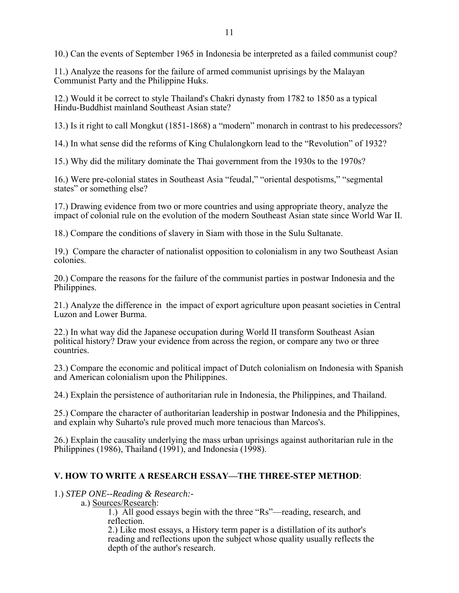10.) Can the events of September 1965 in Indonesia be interpreted as a failed communist coup?

11.) Analyze the reasons for the failure of armed communist uprisings by the Malayan Communist Party and the Philippine Huks.

12.) Would it be correct to style Thailand's Chakri dynasty from 1782 to 1850 as a typical Hindu-Buddhist mainland Southeast Asian state?

13.) Is it right to call Mongkut (1851-1868) a "modern" monarch in contrast to his predecessors?

14.) In what sense did the reforms of King Chulalongkorn lead to the "Revolution" of 1932?

15.) Why did the military dominate the Thai government from the 1930s to the 1970s?

16.) Were pre-colonial states in Southeast Asia "feudal," "oriental despotisms," "segmental states" or something else?

17.) Drawing evidence from two or more countries and using appropriate theory, analyze the impact of colonial rule on the evolution of the modern Southeast Asian state since World War II.

18.) Compare the conditions of slavery in Siam with those in the Sulu Sultanate.

19.) Compare the character of nationalist opposition to colonialism in any two Southeast Asian colonies.

20.) Compare the reasons for the failure of the communist parties in postwar Indonesia and the Philippines.

21.) Analyze the difference in the impact of export agriculture upon peasant societies in Central Luzon and Lower Burma.

22.) In what way did the Japanese occupation during World II transform Southeast Asian political history? Draw your evidence from across the region, or compare any two or three countries.

23.) Compare the economic and political impact of Dutch colonialism on Indonesia with Spanish and American colonialism upon the Philippines.

24.) Explain the persistence of authoritarian rule in Indonesia, the Philippines, and Thailand.

25.) Compare the character of authoritarian leadership in postwar Indonesia and the Philippines, and explain why Suharto's rule proved much more tenacious than Marcos's.

26.) Explain the causality underlying the mass urban uprisings against authoritarian rule in the Philippines (1986), Thailand (1991), and Indonesia (1998).

# **V. HOW TO WRITE A RESEARCH ESSAY—THE THREE-STEP METHOD**:

# 1.) *STEP ONE--Reading & Research:-*

a.) Sources/Research:

1.) All good essays begin with the three "Rs"—reading, research, and reflection.

2.) Like most essays, a History term paper is a distillation of its author's reading and reflections upon the subject whose quality usually reflects the depth of the author's research.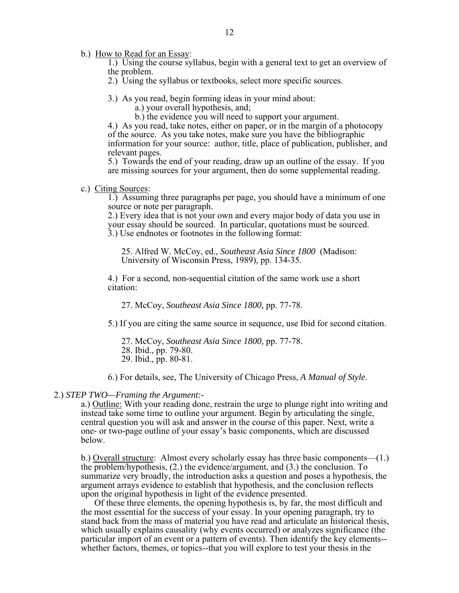b.) How to Read for an Essay:

1.) Using the course syllabus, begin with a general text to get an overview of the problem.

2.) Using the syllabus or textbooks, select more specific sources.

3.) As you read, begin forming ideas in your mind about:

a.) your overall hypothesis, and;

b.) the evidence you will need to support your argument.

4.) As you read, take notes, either on paper, or in the margin of a photocopy of the source. As you take notes, make sure you have the bibliographic information for your source: author, title, place of publication, publisher, and relevant pages.

5.) Towards the end of your reading, draw up an outline of the essay. If you are missing sources for your argument, then do some supplemental reading.

## c.) Citing Sources:

1.) Assuming three paragraphs per page, you should have a minimum of one source or note per paragraph.

2.) Every idea that is not your own and every major body of data you use in your essay should be sourced. In particular, quotations must be sourced. 3.) Use endnotes or footnotes in the following format:

25. Alfred W. McCoy, ed., *Southeast Asia Since 1800* (Madison: University of Wisconsin Press, 1989), pp. 134-35.

4.) For a second, non-sequential citation of the same work use a short citation:

27. McCoy, *Southeast Asia Since 1800,* pp. 77-78.

5.) If you are citing the same source in sequence, use Ibid for second citation.

27. McCoy, *Southeast Asia Since 1800,* pp. 77-78.

- 28. Ibid., pp. 79-80.
- 29. Ibid., pp. 80-81.

6.) For details, see, The University of Chicago Press, *A Manual of Style*.

# 2.) *STEP TWO—Framing the Argument:-*

a.) Outline: With your reading done, restrain the urge to plunge right into writing and instead take some time to outline your argument. Begin by articulating the single, central question you will ask and answer in the course of this paper. Next, write a one- or two-page outline of your essay's basic components, which are discussed below.

b.) Overall structure: Almost every scholarly essay has three basic components—(1.) the problem/hypothesis, (2.) the evidence/argument, and (3.) the conclusion. To summarize very broadly, the introduction asks a question and poses a hypothesis, the argument arrays evidence to establish that hypothesis, and the conclusion reflects upon the original hypothesis in light of the evidence presented.

 Of these three elements, the opening hypothesis is, by far, the most difficult and the most essential for the success of your essay. In your opening paragraph, try to stand back from the mass of material you have read and articulate an historical thesis, which usually explains causality (why events occurred) or analyzes significance (the particular import of an event or a pattern of events). Then identify the key elements- whether factors, themes, or topics--that you will explore to test your thesis in the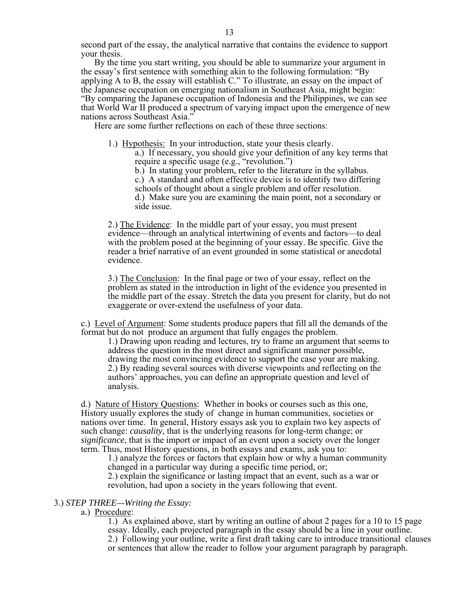By the time you start writing, you should be able to summarize your argument in the essay's first sentence with something akin to the following formulation: "By applying A to B, the essay will establish C." To illustrate, an essay on the impact of the Japanese occupation on emerging nationalism in Southeast Asia, might begin: "By comparing the Japanese occupation of Indonesia and the Philippines, we can see that World War II produced a spectrum of varying impact upon the emergence of new nations across Southeast Asia."

Here are some further reflections on each of these three sections:

1.) Hypothesis: In your introduction, state your thesis clearly. a.) If necessary, you should give your definition of any key terms that

require a specific usage (e.g., "revolution.") b.) In stating your problem, refer to the literature in the syllabus.

c.) A standard and often effective device is to identify two differing

schools of thought about a single problem and offer resolution.

d.) Make sure you are examining the main point, not a secondary or side issue.

2.) The Evidence: In the middle part of your essay, you must present evidence—through an analytical intertwining of events and factors—to deal with the problem posed at the beginning of your essay. Be specific. Give the reader a brief narrative of an event grounded in some statistical or anecdotal evidence.

3.) The Conclusion: In the final page or two of your essay, reflect on the problem as stated in the introduction in light of the evidence you presented in the middle part of the essay. Stretch the data you present for clarity, but do not exaggerate or over-extend the usefulness of your data.

c.) Level of Argument: Some students produce papers that fill all the demands of the format but do not produce an argument that fully engages the problem.

1.) Drawing upon reading and lectures, try to frame an argument that seems to address the question in the most direct and significant manner possible, drawing the most convincing evidence to support the case your are making. 2.) By reading several sources with diverse viewpoints and reflecting on the authors' approaches, you can define an appropriate question and level of analysis.

d.) Nature of History Questions: Whether in books or courses such as this one, History usually explores the study of change in human communities, societies or nations over time. In general, History essays ask you to explain two key aspects of such change: *causality*, that is the underlying reasons for long-term change; or *significance*, that is the import or impact of an event upon a society over the longer term. Thus, most History questions, in both essays and exams, ask you to:

1.) analyze the forces or factors that explain how or why a human community changed in a particular way during a specific time period, or;

2.) explain the significance or lasting impact that an event, such as a war or revolution, had upon a society in the years following that event.

# 3.) *STEP THREE—Writing the Essay:*

# a.) Procedure:

1.) As explained above, start by writing an outline of about 2 pages for a 10 to 15 page essay. Ideally, each projected paragraph in the essay should be a line in your outline. 2.) Following your outline, write a first draft taking care to introduce transitional clauses or sentences that allow the reader to follow your argument paragraph by paragraph.